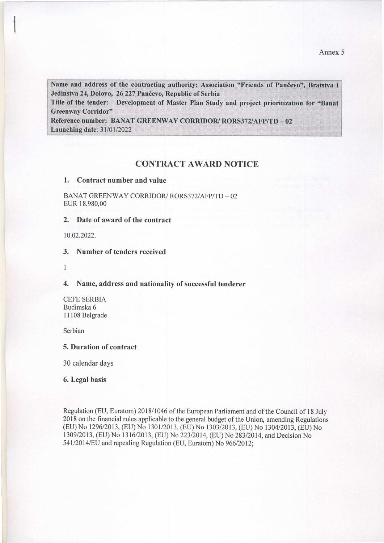Name and address of the contracting authority: Association "Friends of Pančevo", Bratstva i Jedinstva 24, Dolovo, 26 227 Pančevo, Republic of Serbia

Title of the tender: Development of Master Plan Study and project prioritization for "Banat" **Greenway Corridor"** 

Reference number: BANAT GREENWAY CORRIDOR/RORS372/AFP/TD - 02 **Launching date: 31/01/2022** 

## CONTRACT AWARD NOTICE

## 1. Contract number and value

BANAT GREENWAY CORRIDOR/ RORS372/AFP/TD - 02 EUR 18.980,00

2. Date of award of the contract

10.02.2022.

3. Number of tenders received

I

4. Name, address and nationalify of successful tenderer

CEFE SERBIA Budimska 6 11108 Belgrade

Serbian

## 5. Duration of contract

30 calendar days

6. Legal basis

Regulation (EU, Euratom) 2018/1046 of the European Parliament and of the Council of l8 July 2018 on the financial rules applicable to the general budget of the Union, amending Regulations (EU) No 1296/2013, (EU) No 1301/2013, (EU) No 1303/2013, (EU) No 1304/2013, (EU) No 1309/2013, (EU) No 1316/2013, (EU) No 223/2014, (EU) No 283/2014, and Decision No 54112014/EU and repealing Regulation (EU, Euratom) No 966/2012;